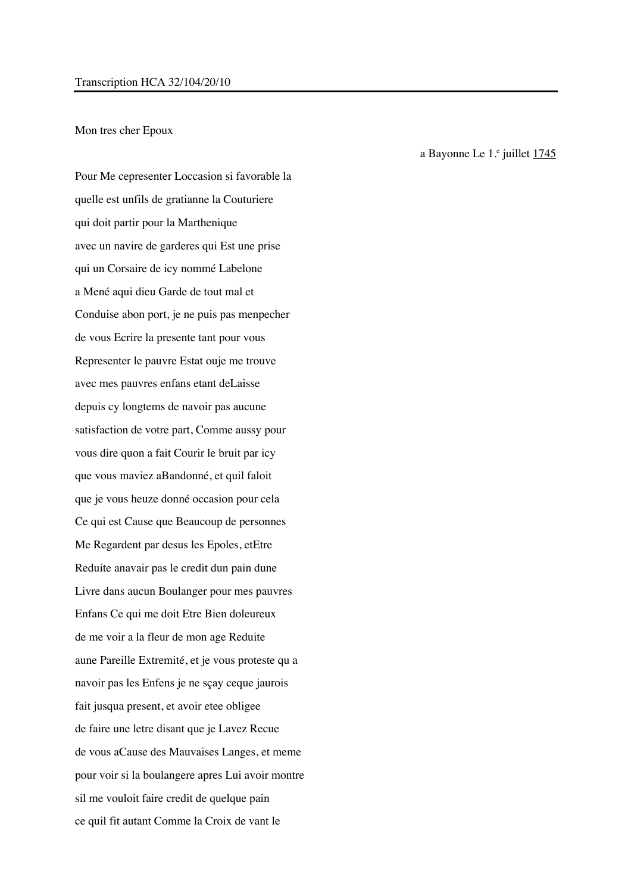## Mon tres cher Epoux

Pour Me cepresenter Loccasion si favorable la quelle est unfils de gratianne la Couturiere qui doit partir pour la Marthenique avec un navire de garderes qui Est une prise qui un Corsaire de icy nommé Labelone a Mené aqui dieu Garde de tout mal et Conduise abon port, je ne puis pas menpecher de vous Ecrire la presente tant pour vous Representer le pauvre Estat ouje me trouve avec mes pauvres enfans etant deLaisse depuis cy longtems de navoir pas aucune satisfaction de votre part, Comme aussy pour vous dire quon a fait Courir le bruit par icy que vous maviez aBandonné, et quil faloit que je vous heuze donné occasion pour cela Ce qui est Cause que Beaucoup de personnes Me Regardent par desus les Epoles, etEtre Reduite anavair pas le credit dun pain dune Livre dans aucun Boulanger pour mes pauvres Enfans Ce qui me doit Etre Bien doleureux de me voir a la fleur de mon age Reduite aune Pareille Extremité, et je vous proteste qu a navoir pas les Enfens je ne sçay ceque jaurois fait jusqua present, et avoir etee obligee de faire une letre disant que je Lavez Recue de vous aCause des Mauvaises Langes, et meme pour voir si la boulangere apres Lui avoir montre sil me vouloit faire credit de quelque pain ce quil fit autant Comme la Croix de vant le

a Bayonne Le  $1.$ <sup>e</sup> juillet  $1745$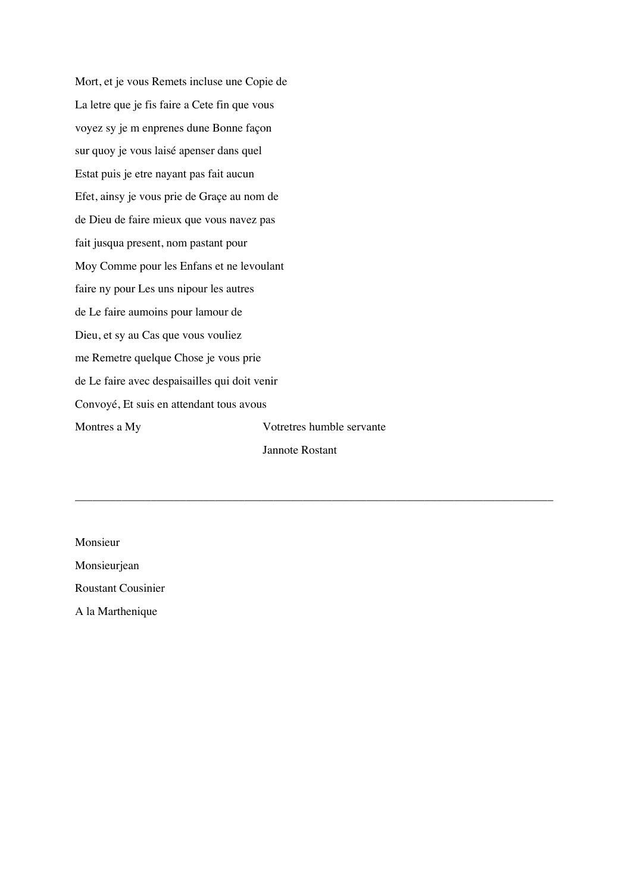Mort, et je vous Remets incluse une Copie de La letre que je fis faire a Cete fin que vous voyez sy je m enprenes dune Bonne façon sur quoy je vous laisé apenser dans quel Estat puis je etre nayant pas fait aucun Efet, ainsy je vous prie de Graçe au nom de de Dieu de faire mieux que vous navez pas fait jusqua present, nom pastant pour Moy Comme pour les Enfans et ne levoulant faire ny pour Les uns nipour les autres de Le faire aumoins pour lamour de Dieu, et sy au Cas que vous vouliez me Remetre quelque Chose je vous prie de Le faire avec despaisailles qui doit venir Convoyé, Et suis en attendant tous avous Montres a My Votretres humble servante Jannote Rostant

\_\_\_\_\_\_\_\_\_\_\_\_\_\_\_\_\_\_\_\_\_\_\_\_\_\_\_\_\_\_\_\_\_\_\_\_\_\_\_\_\_\_\_\_\_\_\_\_\_\_\_\_\_\_\_\_\_\_\_\_\_\_\_\_\_\_\_\_\_\_\_\_\_\_\_\_\_\_\_\_\_\_

Monsieur

Monsieurjean Roustant Cousinier

A la Marthenique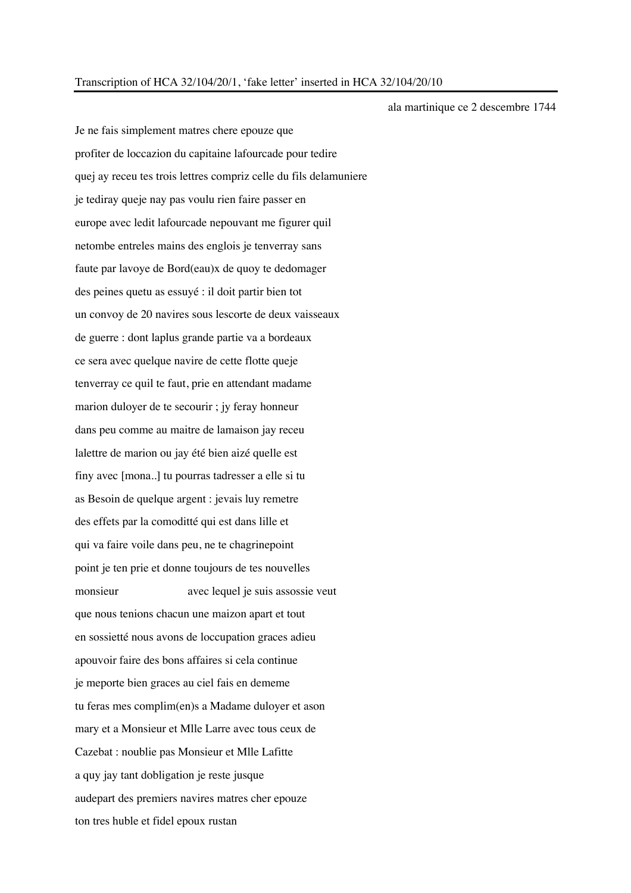Je ne fais simplement matres chere epouze que profiter de loccazion du capitaine lafourcade pour tedire quej ay receu tes trois lettres compriz celle du fils delamuniere je tediray queje nay pas voulu rien faire passer en europe avec ledit lafourcade nepouvant me figurer quil netombe entreles mains des englois je tenverray sans faute par lavoye de Bord(eau)x de quoy te dedomager des peines quetu as essuyé : il doit partir bien tot un convoy de 20 navires sous lescorte de deux vaisseaux de guerre : dont laplus grande partie va a bordeaux ce sera avec quelque navire de cette flotte queje tenverray ce quil te faut, prie en attendant madame marion duloyer de te secourir ; jy feray honneur dans peu comme au maitre de lamaison jay receu lalettre de marion ou jay été bien aizé quelle est finy avec [mona..] tu pourras tadresser a elle si tu as Besoin de quelque argent : jevais luy remetre des effets par la comoditté qui est dans lille et qui va faire voile dans peu, ne te chagrinepoint point je ten prie et donne toujours de tes nouvelles monsieur avec lequel je suis assossie veut que nous tenions chacun une maizon apart et tout en sossietté nous avons de loccupation graces adieu apouvoir faire des bons affaires si cela continue je meporte bien graces au ciel fais en dememe tu feras mes complim(en)s a Madame duloyer et ason mary et a Monsieur et Mlle Larre avec tous ceux de Cazebat : noublie pas Monsieur et Mlle Lafitte a quy jay tant dobligation je reste jusque audepart des premiers navires matres cher epouze ton tres huble et fidel epoux rustan

ala martinique ce 2 descembre 1744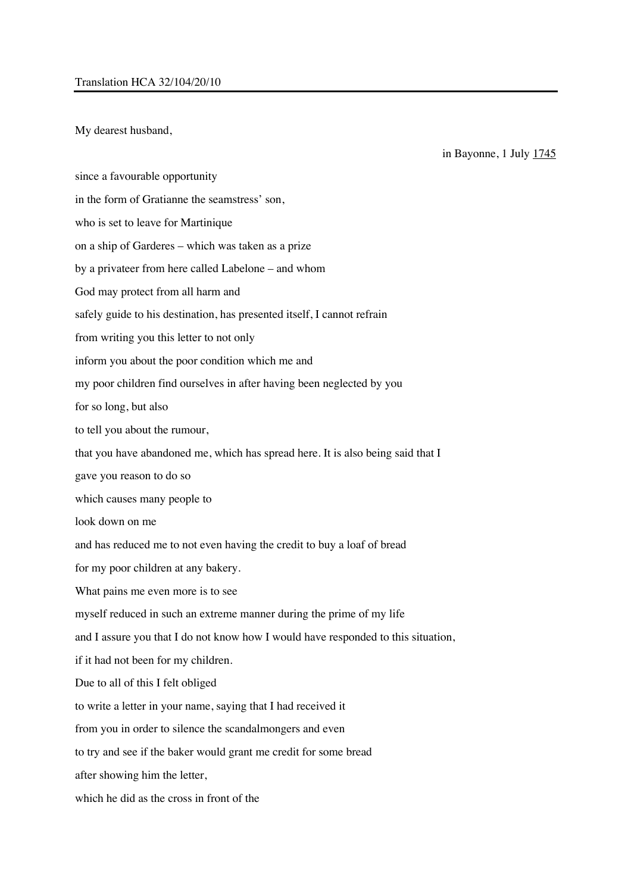My dearest husband,

since a favourable opportunity in the form of Gratianne the seamstress' son, who is set to leave for Martinique on a ship of Garderes – which was taken as a prize by a privateer from here called Labelone – and whom God may protect from all harm and safely guide to his destination, has presented itself, I cannot refrain from writing you this letter to not only inform you about the poor condition which me and my poor children find ourselves in after having been neglected by you for so long, but also to tell you about the rumour, that you have abandoned me, which has spread here. It is also being said that I gave you reason to do so which causes many people to look down on me and has reduced me to not even having the credit to buy a loaf of bread for my poor children at any bakery. What pains me even more is to see myself reduced in such an extreme manner during the prime of my life and I assure you that I do not know how I would have responded to this situation, if it had not been for my children. Due to all of this I felt obliged to write a letter in your name, saying that I had received it from you in order to silence the scandalmongers and even to try and see if the baker would grant me credit for some bread after showing him the letter, which he did as the cross in front of the

in Bayonne, 1 July 1745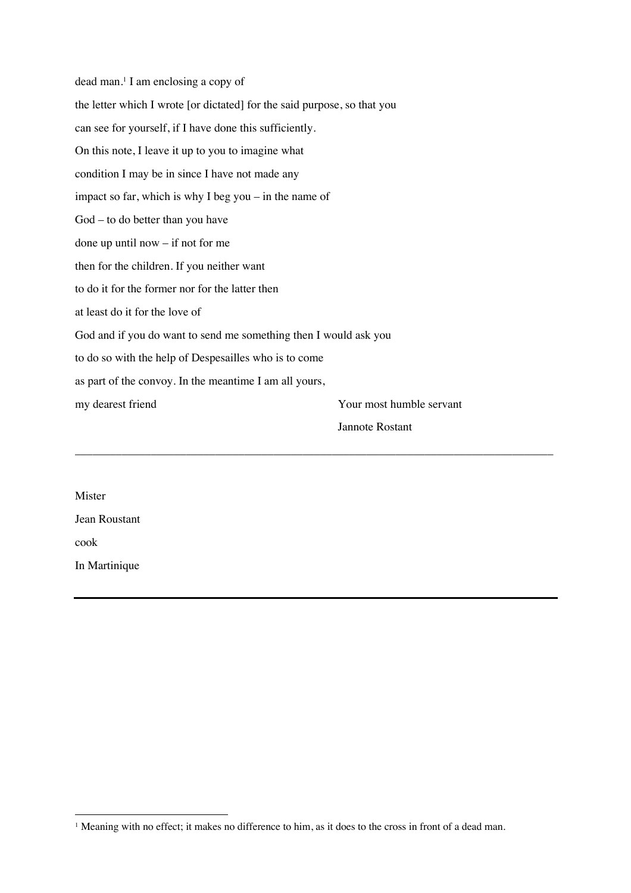dead man. <sup>1</sup> I am enclosing a copy of the letter which I wrote [or dictated] for the said purpose, so that you can see for yourself, if I have done this sufficiently. On this note, I leave it up to you to imagine what condition I may be in since I have not made any impact so far, which is why I beg you – in the name of God – to do better than you have done up until now – if not for me then for the children. If you neither want to do it for the former nor for the latter then at least do it for the love of God and if you do want to send me something then I would ask you to do so with the help of Despesailles who is to come as part of the convoy. In the meantime I am all yours, my dearest friend Your most humble servant Jannote Rostant \_\_\_\_\_\_\_\_\_\_\_\_\_\_\_\_\_\_\_\_\_\_\_\_\_\_\_\_\_\_\_\_\_\_\_\_\_\_\_\_\_\_\_\_\_\_\_\_\_\_\_\_\_\_\_\_\_\_\_\_\_\_\_\_\_\_\_\_\_\_\_\_\_\_\_\_\_\_\_\_\_\_

Mister Jean Roustant cook In Martinique

<sup>&</sup>lt;sup>1</sup> Meaning with no effect; it makes no difference to him, as it does to the cross in front of a dead man.